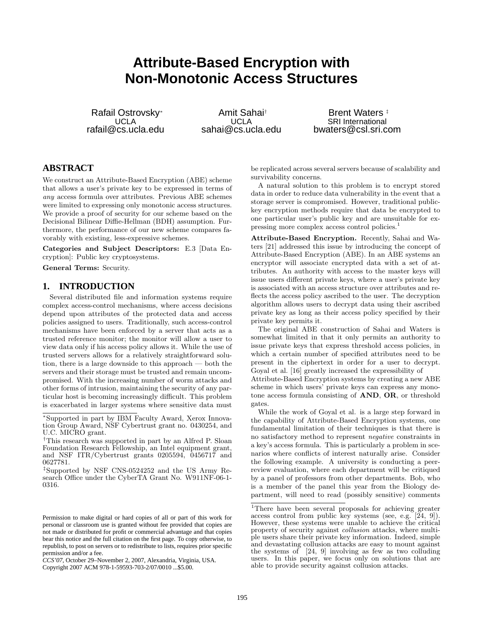# **Attribute-Based Encryption with Non-Monotonic Access Structures**

Rafail Ostrovsky<sup>∗</sup> UCLA rafail@cs.ucla.edu

Amit Sahai† UCLA sahai@cs.ucla.edu

Brent Waters<sup>#</sup> SRI International bwaters@csl.sri.com

# **ABSTRACT**

We construct an Attribute-Based Encryption (ABE) scheme that allows a user's private key to be expressed in terms of any access formula over attributes. Previous ABE schemes were limited to expressing only monotonic access structures. We provide a proof of security for our scheme based on the Decisional Bilinear Diffie-Hellman (BDH) assumption. Furthermore, the performance of our new scheme compares favorably with existing, less-expressive schemes.

Categories and Subject Descriptors: E.3 [Data Encryption]: Public key cryptosystems.

General Terms: Security.

## **1. INTRODUCTION**

Several distributed file and information systems require complex access-control mechanisms, where access decisions depend upon attributes of the protected data and access policies assigned to users. Traditionally, such access-control mechanisms have been enforced by a server that acts as a trusted reference monitor; the monitor will allow a user to view data only if his access policy allows it. While the use of trusted servers allows for a relatively straightforward solution, there is a large downside to this approach — both the servers and their storage must be trusted and remain uncompromised. With the increasing number of worm attacks and other forms of intrusion, maintaining the security of any particular host is becoming increasingly difficult. This problem is exacerbated in larger systems where sensitive data must be replicated across several servers because of scalability and survivability concerns.

A natural solution to this problem is to encrypt stored data in order to reduce data vulnerability in the event that a storage server is compromised. However, traditional publickey encryption methods require that data be encrypted to one particular user's public key and are unsuitable for expressing more complex access control policies.<sup>1</sup>

Attribute-Based Encryption. Recently, Sahai and Waters [21] addressed this issue by introducing the concept of Attribute-Based Encryption (ABE). In an ABE systems an encryptor will associate encrypted data with a set of attributes. An authority with access to the master keys will issue users different private keys, where a user's private key is associated with an access structure over attributes and reflects the access policy ascribed to the user. The decryption algorithm allows users to decrypt data using their ascribed private key as long as their access policy specified by their private key permits it.

The original ABE construction of Sahai and Waters is somewhat limited in that it only permits an authority to issue private keys that express threshold access policies, in which a certain number of specified attributes need to be present in the ciphertext in order for a user to decrypt. Goyal et al. [16] greatly increased the expressibility of

Attribute-Based Encryption systems by creating a new ABE scheme in which users' private keys can express any monotone access formula consisting of AND, OR, or threshold gates.

While the work of Goyal et al. is a large step forward in the capability of Attribute-Based Encryption systems, one fundamental limitation of their techniques is that there is no satisfactory method to represent negative constraints in a key's access formula. This is particularly a problem in scenarios where conflicts of interest naturally arise. Consider the following example. A university is conducting a peerreview evaluation, where each department will be critiqued by a panel of professors from other departments. Bob, who is a member of the panel this year from the Biology department, will need to read (possibly sensitive) comments

<sup>∗</sup>Supported in part by IBM Faculty Award, Xerox Innovation Group Award, NSF Cybertrust grant no. 0430254, and U.C. MICRO grant.

<sup>†</sup>This research was supported in part by an Alfred P. Sloan Foundation Research Fellowship, an Intel equipment grant, and NSF ITR/Cybertrust grants 0205594, 0456717 and 0627781.

<sup>‡</sup>Supported by NSF CNS-0524252 and the US Army Research Office under the CyberTA Grant No. W911NF-06-1- 0316.

Permission to make digital or hard copies of all or part of this work for personal or classroom use is granted without fee provided that copies are not made or distributed for profit or commercial advantage and that copies bear this notice and the full citation on the first page. To copy otherwise, to republish, to post on servers or to redistribute to lists, requires prior specific permission and/or a fee.

*CCS'07,* October 29–November 2, 2007, Alexandria, Virginia, USA. Copyright 2007 ACM 978-1-59593-703-2/07/0010 ...\$5.00.

<sup>&</sup>lt;sup>1</sup>There have been several proposals for achieving greater access control from public key systems (see, e.g.  $[24, 9]$ ). However, these systems were unable to achieve the critical property of security against collusion attacks, where multiple users share their private key information. Indeed, simple and devastating collusion attacks are easy to mount against the systems of [24, 9] involving as few as two colluding users. In this paper, we focus only on solutions that are able to provide security against collusion attacks.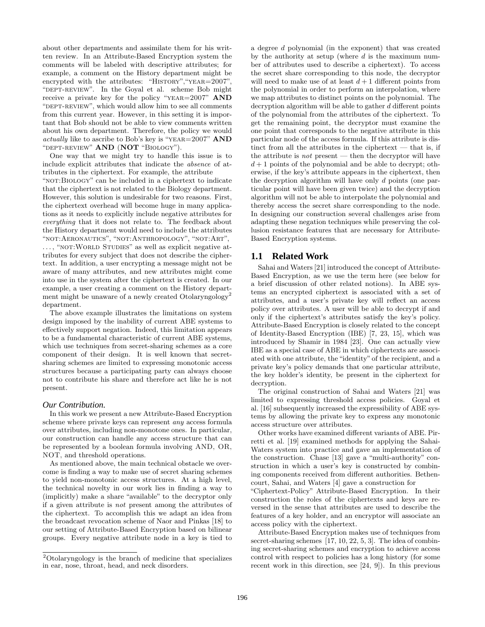about other departments and assimilate them for his written review. In an Attribute-Based Encryption system the comments will be labeled with descriptive attributes; for example, a comment on the History department might be encrypted with the attributes: "HISTORY", "YEAR=2007", "DEPT-REVIEW". In the Goyal et al. scheme Bob might receive a private key for the policy "YEAR=2007" AND "DEPT-REVIEW", which would allow him to see all comments from this current year. However, in this setting it is important that Bob should not be able to view comments written about his own department. Therefore, the policy we would actually like to ascribe to Bob's key is "YEAR= $2007$ " AND "DEPT-REVIEW" AND (NOT "BIOLOGY").

One way that we might try to handle this issue is to include explicit attributes that indicate the absence of attributes in the ciphertext. For example, the attribute "NOT: BIOLOGY" can be included in a ciphertext to indicate that the ciphertext is not related to the Biology department. However, this solution is undesirable for two reasons. First, the ciphertext overhead will become huge in many applications as it needs to explicitly include negative attributes for everything that it does not relate to. The feedback about the History department would need to include the attributes "not:Aeronautics", "not:Anthropology", "not:Art", ..., "NOT: WORLD STUDIES" as well as explicit negative attributes for every subject that does not describe the ciphertext. In addition, a user encrypting a message might not be aware of many attributes, and new attributes might come into use in the system after the ciphertext is created. In our example, a user creating a comment on the History department might be unaware of a newly created Otolaryngology<sup>2</sup> department.

The above example illustrates the limitations on system design imposed by the inability of current ABE systems to effectively support negation. Indeed, this limitation appears to be a fundamental characteristic of current ABE systems, which use techniques from secret-sharing schemes as a core component of their design. It is well known that secretsharing schemes are limited to expressing monotonic access structures because a participating party can always choose not to contribute his share and therefore act like he is not present.

#### *Our Contribution.*

In this work we present a new Attribute-Based Encryption scheme where private keys can represent any access formula over attributes, including non-monotone ones. In particular, our construction can handle any access structure that can be represented by a boolean formula involving AND, OR, NOT, and threshold operations.

As mentioned above, the main technical obstacle we overcome is finding a way to make use of secret sharing schemes to yield non-monotonic access structures. At a high level, the technical novelty in our work lies in finding a way to (implicitly) make a share "available" to the decryptor only if a given attribute is not present among the attributes of the ciphertext. To accomplish this we adapt an idea from the broadcast revocation scheme of Naor and Pinkas [18] to our setting of Attribute-Based Encryption based on bilinear groups. Every negative attribute node in a key is tied to a degree d polynomial (in the exponent) that was created by the authority at setup (where  $d$  is the maximum number of attributes used to describe a ciphertext). To access the secret share corresponding to this node, the decryptor will need to make use of at least  $d+1$  different points from the polynomial in order to perform an interpolation, where we map attributes to distinct points on the polynomial. The decryption algorithm will be able to gather d different points of the polynomial from the attributes of the ciphertext. To get the remaining point, the decryptor must examine the one point that corresponds to the negative attribute in this particular node of the access formula. If this attribute is distinct from all the attributes in the ciphertext  $-$  that is, if the attribute is *not* present  $-$  then the decryptor will have  $d+1$  points of the polynomial and be able to decrypt; otherwise, if the key's attribute appears in the ciphertext, then the decryption algorithm will have only d points (one particular point will have been given twice) and the decryption algorithm will not be able to interpolate the polynomial and thereby access the secret share corresponding to the node. In designing our construction several challenges arise from adapting these negation techniques while preserving the collusion resistance features that are necessary for Attribute-Based Encryption systems.

# **1.1 Related Work**

Sahai and Waters [21] introduced the concept of Attribute-Based Encryption, as we use the term here (see below for a brief discussion of other related notions). In ABE systems an encrypted ciphertext is associated with a set of attributes, and a user's private key will reflect an access policy over attributes. A user will be able to decrypt if and only if the ciphertext's attributes satisfy the key's policy. Attribute-Based Encryption is closely related to the concept of Identity-Based Encryption (IBE) [7, 23, 15], which was introduced by Shamir in 1984 [23]. One can actually view IBE as a special case of ABE in which ciphertexts are associated with one attribute, the "identity" of the recipient, and a private key's policy demands that one particular attribute, the key holder's identity, be present in the ciphertext for decryption.

The original construction of Sahai and Waters [21] was limited to expressing threshold access policies. Goyal et al. [16] subsequently increased the expressibility of ABE systems by allowing the private key to express any monotonic access structure over attributes.

Other works have examined different variants of ABE. Pirretti et al. [19] examined methods for applying the Sahai-Waters system into practice and gave an implementation of the construction. Chase [13] gave a "multi-authority" construction in which a user's key is constructed by combining components received from different authorities. Bethencourt, Sahai, and Waters [4] gave a construction for

"Ciphertext-Policy" Attribute-Based Encryption. In their construction the roles of the ciphertexts and keys are reversed in the sense that attributes are used to describe the features of a key holder, and an encryptor will associate an access policy with the ciphertext.

Attribute-Based Encryption makes use of techniques from secret-sharing schemes [17, 10, 22, 5, 3]. The idea of combining secret-sharing schemes and encryption to achieve access control with respect to policies has a long history (for some recent work in this direction, see [24, 9]). In this previous

<sup>2</sup>Otolaryngology is the branch of medicine that specializes in ear, nose, throat, head, and neck disorders.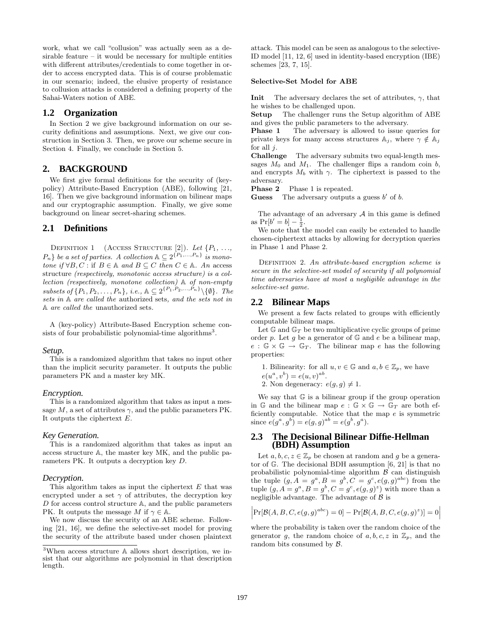work, what we call "collusion" was actually seen as a desirable feature – it would be necessary for multiple entities with different attributes/credentials to come together in order to access encrypted data. This is of course problematic in our scenario; indeed, the elusive property of resistance to collusion attacks is considered a defining property of the Sahai-Waters notion of ABE.

### **1.2 Organization**

In Section 2 we give background information on our security definitions and assumptions. Next, we give our construction in Section 3. Then, we prove our scheme secure in Section 4. Finally, we conclude in Section 5.

# **2. BACKGROUND**

We first give formal definitions for the security of (keypolicy) Attribute-Based Encryption (ABE), following [21, 16]. Then we give background information on bilinear maps and our cryptographic assumption. Finally, we give some background on linear secret-sharing schemes.

#### **2.1 Definitions**

DEFINITION 1 (ACCESS STRUCTURE [2]). Let  $\{P_1, \ldots, P_n\}$  $P_n$ } be a set of parties. A collection  $\mathbb{A} \subseteq 2^{\{P_1, ..., P_n\}}$  is monotone if  $\forall B, C : \text{if } B \in \mathbb{A}$  and  $B \subseteq C$  then  $C \in \mathbb{A}$ . An access structure (respectively, monotonic access structure) is a collection (respectively, monotone collection) A of non-empty subsets of  $\{P_1, P_2, \ldots, P_n\}$ , i.e.,  $\mathbb{A} \subseteq 2^{\{P_1, P_2, \ldots, P_n\}} \setminus \{\emptyset\}$ . The sets in A are called the authorized sets, and the sets not in A are called the unauthorized sets.

A (key-policy) Attribute-Based Encryption scheme consists of four probabilistic polynomial-time algorithms<sup>3</sup>.

#### *Setup.*

This is a randomized algorithm that takes no input other than the implicit security parameter. It outputs the public parameters PK and a master key MK.

#### *Encryption.*

This is a randomized algorithm that takes as input a message  $M$ , a set of attributes  $\gamma$ , and the public parameters PK. It outputs the ciphertext E.

#### *Key Generation.*

This is a randomized algorithm that takes as input an access structure A, the master key MK, and the public parameters PK. It outputs a decryption key D.

#### *Decryption.*

This algorithm takes as input the ciphertext  $E$  that was encrypted under a set  $\gamma$  of attributes, the decryption key D for access control structure A, and the public parameters PK. It outputs the message M if  $\gamma \in \mathbb{A}$ .

We now discuss the security of an ABE scheme. Following [21, 16], we define the selective-set model for proving the security of the attribute based under chosen plaintext

attack. This model can be seen as analogous to the selective-ID model [11, 12, 6] used in identity-based encryption (IBE) schemes [23, 7, 15].

#### Selective-Set Model for ABE

**Init** The adversary declares the set of attributes,  $\gamma$ , that he wishes to be challenged upon.

Setup The challenger runs the Setup algorithm of ABE and gives the public parameters to the adversary.

**Phase 1** The adversary is allowed to issue queries for private keys for many access structures  $\mathbb{A}_j$ , where  $\gamma \notin \mathbb{A}_j$ for all  $i$ .

Challenge The adversary submits two equal-length messages  $M_0$  and  $M_1$ . The challenger flips a random coin b, and encrypts  $M_b$  with  $\gamma$ . The ciphertext is passed to the adversary.

Phase 2 Phase 1 is repeated.

**Guess** The adversary outputs a guess  $b'$  of  $b$ .

The advantage of an adversary  $A$  in this game is defined as  $Pr[b' = b] - \frac{1}{2}$ .

We note that the model can easily be extended to handle chosen-ciphertext attacks by allowing for decryption queries in Phase 1 and Phase 2.

DEFINITION 2. An attribute-based encryption scheme is secure in the selective-set model of security if all polynomial time adversaries have at most a negligible advantage in the selective-set game.

## **2.2 Bilinear Maps**

We present a few facts related to groups with efficiently computable bilinear maps.

Let  $\mathbb{G}$  and  $\mathbb{G}_T$  be two multiplicative cyclic groups of prime order p. Let g be a generator of  $\mathbb{G}$  and e be a bilinear map,  $e : \mathbb{G} \times \mathbb{G} \to \mathbb{G}_T$ . The bilinear map e has the following properties:

1. Bilinearity: for all  $u, v \in \mathbb{G}$  and  $a, b \in \mathbb{Z}_p$ , we have  $e(u^{a}, v^{b}) = e(u, v)^{ab}.$ 2. Non degeneracy:  $e(q, q) \neq 1$ .

We say that  $G$  is a bilinear group if the group operation in G and the bilinear map  $e : \mathbb{G} \times \mathbb{G} \to \mathbb{G}_T$  are both efficiently computable. Notice that the map e is symmetric since  $e(g^a, g^b) = e(g, g)^{ab} = e(g^b, g^a)$ .

# **2.3 The Decisional Bilinear Diffie-Hellman (BDH) Assumption**

Let  $a, b, c, z \in \mathbb{Z}_p$  be chosen at random and g be a generator of  $\mathbb{G}$ . The decisional BDH assumption [6, 21] is that no probabilistic polynomial-time algorithm  $\beta$  can distinguish the tuple  $(g, A = g^a, B = g^b, C = g^c, e(g, g)^{abc}$  from the tuple  $(g, A = g^a, B = g^b, C = g^c, e(g, g)^z)$  with more than a negligible advantage. The advantage of  $\beta$  is

$$
\left|\Pr[\mathcal{B}(A, B, C, e(g, g)^{abc}) = 0] - \Pr[\mathcal{B}(A, B, C, e(g, g)^{z})] = 0\right|
$$

where the probability is taken over the random choice of the generator g, the random choice of  $a, b, c, z$  in  $\mathbb{Z}_p$ , and the random bits consumed by B.

<sup>3</sup>When access structure A allows short description, we insist that our algorithms are polynomial in that description length.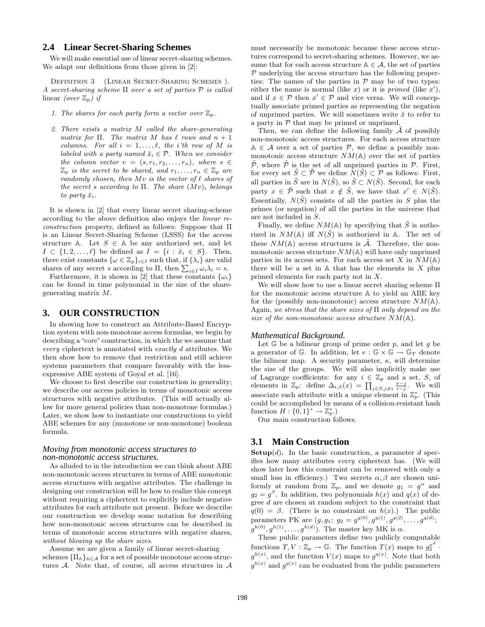# **2.4 Linear Secret-Sharing Schemes**

We will make essential use of linear secret-sharing schemes. We adapt our definitions from those given in [2]:

Definition 3 (Linear Secret-Sharing Schemes ). A secret-sharing scheme Π over a set of parties P is called linear *(over*  $\mathbb{Z}_p$ *)* if

- 1. The shares for each party form a vector over  $\mathbb{Z}_p$ .
- 2. There exists a matrix M called the share-generating matrix for  $\Pi$ . The matrix M has  $\ell$  rows and  $n + 1$ columns. For all  $i = 1, \ldots, \ell$ , the i'th row of M is labeled with a party named  $\breve{x}_i \in \mathcal{P}$ . When we consider the column vector  $v = (s, r_1, r_2, \ldots, r_n)$ , where  $s \in$  $\mathbb{Z}_p$  is the secret to be shared, and  $r_1, \ldots, r_n \in \mathbb{Z}_p$  are randomly chosen, then  $Mv$  is the vector of  $\ell$  shares of the secret s according to  $\Pi$ . The share  $(Mv)_i$  belongs to party  $\check{x}_i$ .

It is shown in [2] that every linear secret sharing-scheme according to the above definition also enjoys the linear reconstruction property, defined as follows: Suppose that Π is an Linear Secret-Sharing Scheme (LSSS) for the access structure A. Let  $S \in A$  be any authorized set, and let  $I \subset \{1, 2, \ldots, \ell\}$  be defined as  $I = \{i : \breve{x}_i \in S\}$ . Then, there exist constants  $\{\omega \in \mathbb{Z}_p\}_{i \in I}$  such that, if  $\{\lambda_i\}$  are valid shares of any secret s according to  $\Pi$ , then  $\sum_{i \in I} \omega_i \lambda_i = s$ .

Furthermore, it is shown in [2] that these constants  $\{\omega_i\}$ can be found in time polynomial in the size of the sharegenerating matrix M.

#### **3. OUR CONSTRUCTION**

In showing how to construct an Attribute-Based Encryption system with non-monotone access formulas, we begin by describing a "core" construction, in which the we assume that every ciphertext is annotated with exactly d attributes. We then show how to remove that restriction and still achieve systems parameters that compare favorably with the lessexpressive ABE system of Goyal et al. [16].

We choose to first describe our construction in generality; we describe our access policies in terms of monotonic access structures with negative attributes. (This will actually allow for more general policies than non-monotone formulas.) Later, we show how to instantiate our constructions to yield ABE schemes for any (monotone or non-monotone) boolean formula.

#### *Moving from monotonic access structures to non-monotonic access structures.*

As alluded to in the introduction we can think about ABE non-monotonic access structures in terms of ABE monotonic access structures with negative attributes. The challenge in designing our construction will be how to realize this concept without requiring a ciphertext to explicitly include negative attributes for each attribute not present. Before we describe our construction we develop some notation for describing how non-monotonic access structures can be described in terms of monotonic access structures with negative shares, without blowing up the share sizes.

Assume we are given a family of linear secret-sharing schemes  $\{\Pi_{\mathbb{A}}\}_{{\mathbb{A}}\in\mathcal{A}}$  for a set of possible monotone access structures  $A$ . Note that, of course, all access structures in  $A$ 

must necessarily be monotonic because these access structures correspond to secret-sharing schemes. However, we assume that for each access structure  $A \in \mathcal{A}$ , the set of parties  $P$  underlying the access structure has the following properties: The names of the parties in  $P$  may be of two types: either the name is normal (like x) or it is primed (like x'), and if  $x \in \mathcal{P}$  then  $x' \in \mathcal{P}$  and vice versa. We will conceptually associate primed parties as representing the negation of unprimed parties. We will sometimes write  $\check{x}$  to refer to a party in  $P$  that may be primed or unprimed.

Then, we can define the following family  $\tilde{\mathcal{A}}$  of possibly non-monotonic access structures. For each access structure  $A \in \mathcal{A}$  over a set of parties  $\mathcal{P}$ , we define a possibly nonmonotonic access structure  $NM(A)$  over the set of parties  $\tilde{\mathcal{P}}$ , where  $\tilde{\mathcal{P}}$  is the set of all unprimed parties in  $\mathcal{P}$ . First, for every set  $\tilde{S} \subset \tilde{\mathcal{P}}$  we define  $N(\tilde{S}) \subset \mathcal{P}$  as follows: First, all parties in  $\tilde{S}$  are in  $N(\tilde{S})$ , so  $\tilde{S} \subset N(\tilde{S})$ . Second, for each party  $x \in \tilde{\mathcal{P}}$  such that  $x \notin \tilde{S}$ , we have that  $x' \in N(\tilde{S})$ . Essentially,  $N(\tilde{S})$  consists of all the parties in S plus the primes (or negation) of all the parties in the universe that are not included in S.

Finally, we define  $NM(\mathbb{A})$  by specifying that  $\tilde{S}$  is authorized in  $NM(A)$  iff  $N(\tilde{S})$  is authorized in A. The set of these  $NM(\mathbb{A})$  access structures is  $\tilde{A}$ . Therefore, the nonmonotonic access structure  $NM(A)$  will have only unprimed parties in its access sets. For each access set X in  $NM(\mathbb{A})$ there will be a set in  $A$  that has the elements in  $X$  plus primed elements for each party not in X.

We will show how to use a linear secret sharing scheme Π for the monotonic access structure A to yield an ABE key for the (possibly non-monotonic) access structure  $NM(A)$ . Again, we stress that the share sizes of Π only depend on the size of the non-monotonic access structure  $NM(A)$ .

#### *Mathematical Background.*

Let  $G$  be a bilinear group of prime order  $p$ , and let  $g$  be a generator of G. In addition, let  $e : \mathbb{G} \times \mathbb{G} \to \mathbb{G}_T$  denote the bilinear map. A security parameter,  $\kappa$ , will determine the size of the groups. We will also implicitly make use of Lagrange coefficients: for any  $i \in \mathbb{Z}_p$  and a set, S, of elements in  $\mathbb{Z}_p$ : define  $\Delta_{i,S}(x) = \prod_{j \in S, j \neq i} \frac{x-j}{i-j}$ . We will associate each attribute with a unique element in  $\mathbb{Z}_p^*$ . (This could be accomplished by means of a collision-resistant hash function  $H: \{0,1\}^* \to \mathbb{Z}_p^*$ .

Our main construction follows.

# **3.1 Main Construction**

**Setup** $(d)$ . In the basic construction, a parameter d specifies how many attributes every ciphertext has. (We will show later how this constraint can be removed with only a small loss in efficiency.) Two secrets  $\alpha, \beta$  are chosen uniformly at random from  $\mathbb{Z}_p$ , and we denote  $g_1 = g^{\alpha}$  and  $g_2 = g^{\beta}$ . In addition, two polynomials  $h(x)$  and  $q(x)$  of degree d are chosen at random subject to the constraint that  $q(0) = \beta$ . (There is no constraint on  $h(x)$ .) The public parameters PK are  $(g, g_1; g_2 = g^{q(0)}, g^{q(1)}, g^{q(2)}, \ldots, g^{q(d)};$  $g^{h(0)}, g^{h(1)}, \ldots, g^{h(d)}$ ). The master key MK is  $\alpha$ .

These public parameters define two publicly computable functions  $T, V : \mathbb{Z}_p \to \mathbb{G}$ . The function  $T(x)$  maps to  $g_2^{x^d}$ .  $g^{h(x)}$ , and the function  $V(x)$  maps to  $g^{q(x)}$ . Note that both  $g^{h(x)}$  and  $g^{q(x)}$  can be evaluated from the public parameters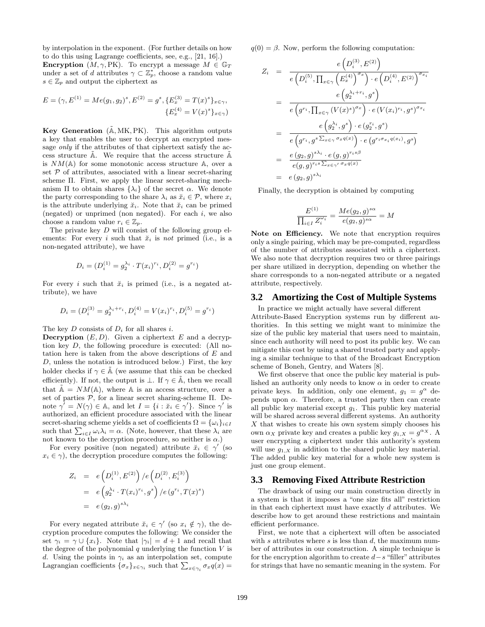by interpolation in the exponent. (For further details on how to do this using Lagrange coefficients, see, e.g., [21, 16].) **Encryption**  $(M, \gamma, PK)$ . To encrypt a message  $M \in \mathbb{G}_T$ under a set of d attributes  $\gamma \subset \mathbb{Z}_p^*$ , choose a random value  $s \in \mathbb{Z}_p$  and output the ciphertext as

$$
E = (\gamma, E^{(1)} = Me(g_1, g_2)^s, E^{(2)} = g^s, \{E_x^{(3)} = T(x)^s\}_{x \in \gamma},
$$
  

$$
\{E_x^{(4)} = V(x)^s\}_{x \in \gamma})
$$

Key Generation  $(\tilde{A}, MK, PK)$ . This algorithm outputs a key that enables the user to decrypt an encrypted message *only* if the attributes of that ciphertext satisfy the access structure  $A$ . We require that the access structure  $A$ is  $NM(\mathbb{A})$  for some monotonic access structure  $\mathbb{A}$ , over a set  $P$  of attributes, associated with a linear secret-sharing scheme Π. First, we apply the linear secret-sharing mechanism  $\Pi$  to obtain shares  $\{\lambda_i\}$  of the secret  $\alpha$ . We denote the party corresponding to the share  $\lambda_i$  as  $\check{x}_i \in \mathcal{P}$ , where  $x_i$ is the attribute underlying  $\check{x}_i$ . Note that  $\check{x}_i$  can be primed (negated) or unprimed (non negated). For each  $i$ , we also choose a random value  $r_i \in \mathbb{Z}_p$ .

The private key  $D$  will consist of the following group elements: For every i such that  $\tilde{x}_i$  is not primed (i.e., is a non-negated attribute), we have

$$
D_i = (D_i^{(1)} = g_2^{\lambda_i} \cdot T(x_i)^{r_i}, D_i^{(2)} = g^{r_i})
$$

For every i such that  $\breve{x}_i$  is primed (i.e., is a negated attribute), we have

$$
D_i = (D_i^{(3)} = g_2^{\lambda_i + r_i}, D_i^{(4)} = V(x_i)^{r_i}, D_i^{(5)} = g^{r_i})
$$

The key  $D$  consists of  $D_i$  for all shares i.

**Decryption**  $(E, D)$ . Given a ciphertext E and a decryption key D, the following procedure is executed: (All notation here is taken from the above descriptions of E and D, unless the notation is introduced below.) First, the key holder checks if  $\gamma \in \tilde{A}$  (we assume that this can be checked efficiently). If not, the output is  $\bot$ . If  $\gamma \in \mathbb{A}$ , then we recall that  $\tilde{A} = NM(A)$ , where A is an access structure, over a set of parties  $P$ , for a linear secret sharing-scheme  $\Pi$ . Denote  $\gamma' = N(\gamma) \in \mathbb{A}$ , and let  $I = \{i : \breve{x}_i \in \gamma'\}$ . Since  $\gamma'$  is authorized, an efficient procedure associated with the linear secret-sharing scheme yields a set of coefficients  $\Omega = {\{\omega_i\}}_{i \in I}$ such that  $\sum_{i \in I} \omega_i \lambda_i = \alpha$ . (Note, however, that these  $\lambda_i$  are not known to the decryption procedure, so neither is  $\alpha$ .)

For every positive (non negated) attribute  $\check{x}_i \in \gamma'$  (so  $x_i \in \gamma$ , the decryption procedure computes the following:

$$
Z_i = e(D_i^{(1)}, E^{(2)}) / e(D_i^{(2)}, E_i^{(3)})
$$
  
=  $e(g_2^{(1)} \cdot T(x_i)^{r_i}, g^s) / e(g^{r_i}, T(x)^s)$   
=  $e(g_2, g)^{s \lambda_i}$ 

For every negated attribute  $\breve{x}_i \in \gamma'$  (so  $x_i \notin \gamma$ ), the decryption procedure computes the following: We consider the set  $\gamma_i = \gamma \cup \{x_i\}$ . Note that  $|\gamma_i| = d+1$  and recall that the degree of the polynomial  $q$  underlying the function  $V$  is d. Using the points in  $\gamma_i$  as an interpolation set, compute Lagrangian coefficients  $\{\sigma_x\}_{x \in \gamma_i}$  such that  $\sum_{x \in \gamma_i} \sigma_x q(x) =$ 

 $q(0) = \beta$ . Now, perform the following computation:

$$
Z_i = \frac{e\left(D_i^{(3)}, E^{(2)}\right)}{e\left(D_i^{(5)}, \prod_{x \in \gamma} \left(E_x^{(4)}\right)^{\sigma_x}\right) \cdot e\left(D_i^{(4)}, E^{(2)}\right)^{\sigma_{x_i}}}
$$
\n
$$
= \frac{e\left(g_2^{\lambda_i + r_i}, g^s\right)}{e\left(g^{r_i}, \prod_{x \in \gamma} \left(V(x)^s\right)^{\sigma_x}\right) \cdot e\left(V(x_i)^{r_i}, g^s\right)^{\sigma_{x_i}}}
$$
\n
$$
= \frac{e\left(g_2^{\lambda_i}, g^s\right) \cdot e\left(g_2^{r_i}, g^s\right)}{e\left(g^{r_i}, g^s \sum_{x \in \gamma} \sigma_x q(x)\right) \cdot e\left(g^{r_i \sigma_{x_i} q(x_i)}, g^s\right)}
$$
\n
$$
= \frac{e\left(g_2, g\right)^{s\lambda_i} \cdot e\left(g, g\right)^{r_i s\beta}}{e(g, g)^{r_i s \sum_{x \in \gamma'} \sigma_x q(x)}}
$$
\n
$$
= e\left(g_2, g\right)^{s\lambda_i}
$$

Finally, the decryption is obtained by computing

$$
\frac{E^{(1)}}{\prod_{i \in I} Z_i^{\omega_i}} = \frac{Me(g_2, g)^{s\alpha}}{e(g_2, g)^{s\alpha}} = M
$$

Note on Efficiency. We note that encryption requires only a single pairing, which may be pre-computed, regardless of the number of attributes associated with a ciphertext. We also note that decryption requires two or three pairings per share utilized in decryption, depending on whether the share corresponds to a non-negated attribute or a negated attribute, respectively.

#### **3.2 Amortizing the Cost of Multiple Systems**

In practice we might actually have several different Attribute-Based Encryption systems run by different authorities. In this setting we might want to minimize the size of the public key material that users need to maintain, since each authority will need to post its public key. We can mitigate this cost by using a shared trusted party and applying a similar technique to that of the Broadcast Encryption scheme of Boneh, Gentry, and Waters [8].

We first observe that once the public key material is published an authority only needs to know  $\alpha$  in order to create private keys. In addition, only one element,  $g_1 = g^{\alpha}$  depends upon  $\alpha$ . Therefore, a trusted party then can create all public key material except  $g_1$ . This public key material will be shared across several different systems. An authority X that wishes to create his own system simply chooses his own  $\alpha_X$  private key and creates a public key  $g_{1,X} = g^{\alpha_X}$ . A user encrypting a ciphertext under this authority's system will use  $q_{1,X}$  in addition to the shared public key material. The added public key material for a whole new system is just one group element.

#### **3.3 Removing Fixed Attribute Restriction**

The drawback of using our main construction directly in a system is that it imposes a "one size fits all" restriction in that each ciphertext must have exactly d attributes. We describe how to get around these restrictions and maintain efficient performance.

First, we note that a ciphertext will often be associated with s attributes where s is less than  $d$ , the maximum number of attributes in our construction. A simple technique is for the encryption algorithm to create  $d-s$  "filler" attributes for strings that have no semantic meaning in the system. For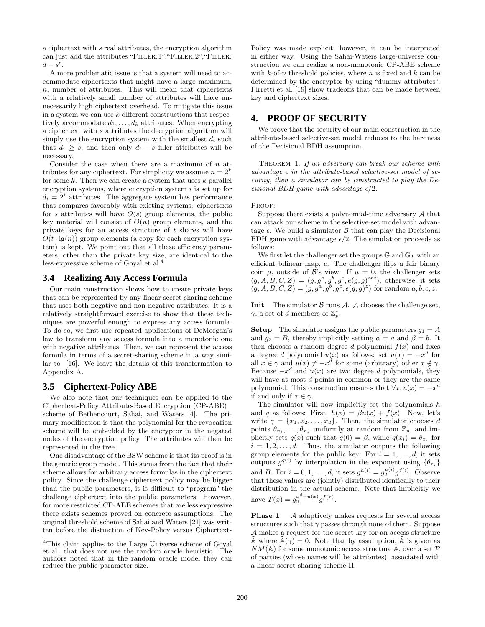a ciphertext with s real attributes, the encryption algorithm can just add the attributes "FILLER:1", "FILLER:2", "FILLER:  $d - s$ ".

A more problematic issue is that a system will need to accommodate ciphertexts that might have a large maximum, n, number of attributes. This will mean that ciphertexts with a relatively small number of attributes will have unnecessarily high ciphertext overhead. To mitigate this issue in a system we can use  $k$  different constructions that respectively accommodate  $d_1, \ldots, d_k$  attributes. When encrypting a ciphertext with s attributes the decryption algorithm will simply use the encryption system with the smallest  $d_i$  such that  $d_i \geq s$ , and then only  $d_i - s$  filler attributes will be necessary.

Consider the case when there are a maximum of  $n$  attributes for any ciphertext. For simplicity we assume  $n = 2<sup>k</sup>$ for some  $k$ . Then we can create a system that uses  $k$  parallel encryption systems, where encryption system  $i$  is set up for  $d_i = 2^i$  attributes. The aggregate system has performance that compares favorably with existing systems: ciphertexts for s attributes will have  $O(s)$  group elements, the public key material will consist of  $O(n)$  group elements, and the private keys for an access structure of  $t$  shares will have  $O(t \cdot \lg(n))$  group elements (a copy for each encryption system) is kept. We point out that all these efficiency parameters, other than the private key size, are identical to the less-expressive scheme of Goyal et al.<sup>4</sup>

# **3.4 Realizing Any Access Formula**

Our main construction shows how to create private keys that can be represented by any linear secret-sharing scheme that uses both negative and non negative attributes. It is a relatively straightforward exercise to show that these techniques are powerful enough to express any access formula. To do so, we first use repeated applications of DeMorgan's law to transform any access formula into a monotonic one with negative attributes. Then, we can represent the access formula in terms of a secret-sharing scheme in a way similar to [16]. We leave the details of this transformation to Appendix A.

## **3.5 Ciphertext-Policy ABE**

We also note that our techniques can be applied to the Ciphertext-Policy Attribute-Based Encryption (CP-ABE) scheme of Bethencourt, Sahai, and Waters [4]. The primary modification is that the polynomial for the revocation scheme will be embedded by the encryptor in the negated nodes of the encryption policy. The attributes will then be represented in the tree.

One disadvantage of the BSW scheme is that its proof is in the generic group model. This stems from the fact that their scheme allows for arbitrary access formulas in the ciphertext policy. Since the challenge ciphertext policy may be bigger than the public parameters, it is difficult to "program" the challenge ciphertext into the public parameters. However, for more restricted CP-ABE schemes that are less expressive there exists schemes proved on concrete assumptions. The original threshold scheme of Sahai and Waters [21] was written before the distinction of Key-Policy versus CiphertextPolicy was made explicit; however, it can be interpreted in either way. Using the Sahai-Waters large-universe construction we can realize a non-monotonic CP-ABE scheme with  $k$ -of-n threshold policies, where n is fixed and  $k$  can be determined by the encryptor by using "dummy attributes". Pirretti et al. [19] show tradeoffs that can be made between key and ciphertext sizes.

## **4. PROOF OF SECURITY**

We prove that the security of our main construction in the attribute-based selective-set model reduces to the hardness of the Decisional BDH assumption.

THEOREM 1. If an adversary can break our scheme with advantage  $\epsilon$  in the attribute-based selective-set model of security, then a simulator can be constructed to play the Decisional BDH game with advantage  $\epsilon/2$ .

PROOF:

Suppose there exists a polynomial-time adversary  $A$  that can attack our scheme in the selective-set model with advantage  $\epsilon$ . We build a simulator  $\beta$  that can play the Decisional BDH game with advantage  $\epsilon/2$ . The simulation proceeds as follows:

We first let the challenger set the groups  $\mathbb{G}$  and  $\mathbb{G}_T$  with an efficient bilinear map, e. The challenger flips a fair binary coin  $\mu$ , outside of  $\mathcal{B}$ 's view. If  $\mu = 0$ , the challenger sets  $(g, A, B, C, Z) = (g, g^a, g^b, g^c, e(g, g)^{abc})$ ; otherwise, it sets  $(g, A, B, C, Z) = (g, g^a, g^b, g^c, e(g, g)^z)$  for random  $a, b, c, z$ .

**Init** The simulator  $\beta$  runs  $\mathcal{A}$ .  $\mathcal{A}$  chooses the challenge set,  $\gamma$ , a set of d members of  $\mathbb{Z}_p^*$ .

**Setup** The simulator assigns the public parameters  $g_1 = A$ and  $g_2 = B$ , thereby implicitly setting  $\alpha = a$  and  $\beta = b$ . It then chooses a random degree d polynomial  $f(x)$  and fixes a degree d polynomial  $u(x)$  as follows: set  $u(x) = -x^d$  for all  $x \in \gamma$  and  $u(x) \neq -x^d$  for some (arbitrary) other  $x \notin \gamma$ . Because  $-x^d$  and  $u(x)$  are two degree d polynomials, they will have at most  $d$  points in common or they are the same polynomial. This construction ensures that  $\forall x, u(x) = -x^d$ if and only if  $x \in \gamma$ .

The simulator will now implicitly set the polynomials  $h$ and q as follows: First,  $h(x) = \beta u(x) + f(x)$ . Now, let's write  $\gamma = \{x_1, x_2, \ldots, x_d\}$ . Then, the simulator chooses d points  $\theta_{x_1}, \ldots, \theta_{x_d}$  uniformly at random from  $\mathbb{Z}_p$ , and implicitly sets  $q(x)$  such that  $q(0) = \beta$ , while  $q(x_i) = \theta_{x_i}$  for  $i = 1, 2, \ldots, d$ . Thus, the simulator outputs the following group elements for the public key: For  $i = 1, \ldots, d$ , it sets outputs  $g^{q(i)}$  by interpolation in the exponent using  $\{\theta_{x_i}\}$ and B. For  $i = 0, 1, ..., d$ , it sets  $g^{h(i)} = g_2^{u(i)} g^{f(i)}$ . Observe that these values are (jointly) distributed identically to their distribution in the actual scheme. Note that implicitly we have  $T(x) = g_2^{x^d + u(x)} g^{f(x)}$ .

**Phase 1** A adaptively makes requests for several access structures such that  $\gamma$  passes through none of them. Suppose A makes a request for the secret key for an access structure A where  $A(\gamma) = 0$ . Note that by assumption, A is given as  $NM(\mathbb{A})$  for some monotonic access structure  $\mathbb{A}$ , over a set  $\mathcal P$ of parties (whose names will be attributes), associated with a linear secret-sharing scheme Π.

<sup>4</sup>This claim applies to the Large Universe scheme of Goyal et al. that does not use the random oracle heuristic. The authors noted that in the random oracle model they can reduce the public parameter size.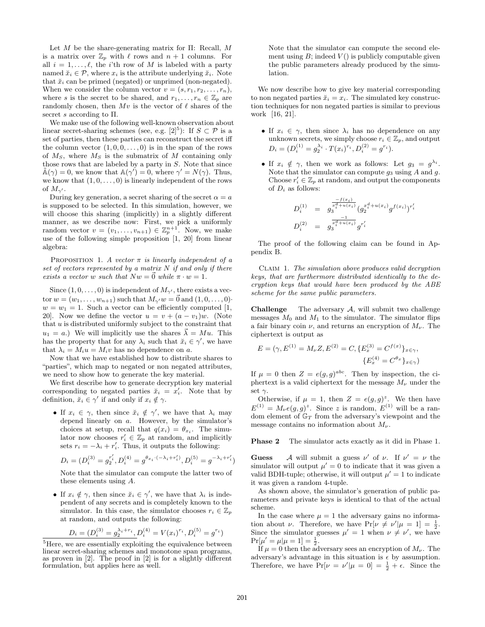Let  $M$  be the share-generating matrix for  $\Pi$ : Recall,  $M$ is a matrix over  $\mathbb{Z}_p$  with  $\ell$  rows and  $n + 1$  columns. For all  $i = 1, \ldots, \ell$ , the *i*'th row of M is labeled with a party named  $\check{x}_i \in \mathcal{P}$ , where  $x_i$  is the attribute underlying  $\check{x}_i$ . Note that  $\check{x}_i$  can be primed (negated) or unprimed (non-negated). When we consider the column vector  $v = (s, r_1, r_2, \ldots, r_n)$ , where s is the secret to be shared, and  $r_1, \ldots, r_n \in \mathbb{Z}_p$  are randomly chosen, then  $Mv$  is the vector of  $\ell$  shares of the secret s according to  $\Pi$ .

We make use of the following well-known observation about linear secret-sharing schemes (see, e.g.  $[2]^5$ ): If  $S \subset \mathcal{P}$  is a set of parties, then these parties can reconstruct the secret iff the column vector  $(1, 0, 0, \ldots, 0)$  is in the span of the rows of  $M<sub>S</sub>$ , where  $M<sub>S</sub>$  is the submatrix of M containing only those rows that are labeled by a party in S. Note that since  $\tilde{\mathbb{A}}(\gamma) = 0$ , we know that  $\mathbb{A}(\gamma') = 0$ , where  $\gamma' = N(\gamma)$ . Thus, we know that  $(1, 0, \ldots, 0)$  is linearly independent of the rows of  $M_{\gamma'}$ .

During key generation, a secret sharing of the secret  $\alpha = a$ is supposed to be selected. In this simulation, however, we will choose this sharing (implicitly) in a slightly different manner, as we describe now: First, we pick a uniformly random vector  $v = (v_1, \ldots, v_{n+1}) \in \mathbb{Z}_p^{n+1}$ . Now, we make use of the following simple proposition [1, 20] from linear algebra:

PROPOSITION 1. A vector  $\pi$  is linearly independent of a set of vectors represented by a matrix  $N$  if and only if there exists a vector w such that  $Nw = \vec{0}$  while  $\pi \cdot w = 1$ .

Since  $(1, 0, \ldots, 0)$  is independent of  $M_{\gamma}$ , there exists a vector  $w = (w_1, \ldots, w_{n+1})$  such that  $M_{\gamma'} w = \vec{0}$  and  $(1, 0, \ldots, 0)$ .  $w = w_1 = 1$ . Such a vector can be efficiently computed [1, 20]. Now we define the vector  $u = v + (a - v_1)w$ . (Note that  $u$  is distributed uniformly subject to the constraint that  $u_1 = a$ .) We will implicitly use the shares  $\vec{\lambda} = M u$ . This has the property that for any  $\lambda_i$  such that  $\check{x}_i \in \gamma'$ , we have that  $\lambda_i = M_i u = M_i v$  has no dependence on a.

Now that we have established how to distribute shares to "parties", which map to negated or non negated attributes, we need to show how to generate the key material.

We first describe how to generate decryption key material corresponding to negated parties  $\breve{x}_i = x'_i$ . Note that by definition,  $\check{x}_i \in \gamma'$  if and only if  $x_i \notin \gamma$ .

• If  $x_i \in \gamma$ , then since  $\breve{x}_i \notin \gamma'$ , we have that  $\lambda_i$  may depend linearly on a. However, by the simulator's choices at setup, recall that  $q(x_i) = \theta_{x_i}$ . The simulator now chooses  $r'_i \in \mathbb{Z}_p$  at random, and implicitly sets  $r_i = -\lambda_i + r'_i$ . Thus, it outputs the following:

$$
D_i = (D_i^{(3)} = g_2^{r'_i}, D_i^{(4)} = g^{\theta_{x_i} \cdot (-\lambda_i + r'_i)}, D_i^{(5)} = g^{-\lambda_i + r'_i})
$$

Note that the simulator can compute the latter two of these elements using A.

• If  $x_i \notin \gamma$ , then since  $\breve{x}_i \in \gamma'$ , we have that  $\lambda_i$  is independent of any secrets and is completely known to the simulator. In this case, the simulator chooses  $r_i \in \mathbb{Z}_p$ at random, and outputs the following:

$$
D_i = (D_i^{(3)} = g_2^{\lambda_i + r_i}, D_i^{(4)} = V(x_i)^{r_i}, D_i^{(5)} = g^{r_i})
$$

Note that the simulator can compute the second element using  $B$ ; indeed  $V()$  is publicly computable given the public parameters already produced by the simulation.

We now describe how to give key material corresponding to non negated parties  $\breve{x}_i = x_i$ . The simulated key construction techniques for non negated parties is similar to previous work [16, 21].

- If  $x_i \in \gamma$ , then since  $\lambda_i$  has no dependence on any unknown secrets, we simply choose  $r_i \in \mathbb{Z}_p$ , and output  $D_i = (D_i^{(1)} = g_2^{\lambda_i} \cdot T(x_i)^{r_i}, D_i^{(2)} = g^{r_i}).$
- If  $x_i \notin \gamma$ , then we work as follows: Let  $g_3 = g^{\lambda_i}$ . Note that the simulator can compute  $g_3$  using A and  $g$ . Choose  $r_i' \in \mathbb{Z}_p$  at random, and output the components of  $D_i$  as follows:

$$
D_i^{(1)} = g_3^{\frac{-f(x_i)}{x_i^d + u(x_i)}} (g_2^{x_i^d + u(x_i)} g^{f(x_i)})^{r_i'}
$$
  

$$
D_i^{(2)} = g_3^{\frac{-1}{x_i^d + u(x_i)}} g^{r_i'}
$$

The proof of the following claim can be found in Appendix B.

Claim 1. The simulation above produces valid decryption keys, that are furthermore distributed identically to the decryption keys that would have been produced by the ABE scheme for the same public parameters.

**Challenge** The adversary  $A$ , will submit two challenge messages  $M_0$  and  $M_1$  to the simulator. The simulator flips a fair binary coin  $\nu$ , and returns an encryption of  $M_{\nu}$ . The ciphertext is output as

$$
E = (\gamma, E^{(1)} = M_{\nu} Z, E^{(2)} = C, \{E_x^{(3)} = C^{f(x)}\}_{x \in \gamma},
$$
  

$$
\{E_x^{(4)} = C^{\theta_x}\}_{x \in \gamma})
$$

If  $\mu = 0$  then  $Z = e(g, g)^{abc}$ . Then by inspection, the ciphertext is a valid ciphertext for the message  $M_{\nu}$  under the set  $\gamma$ .

Otherwise, if  $\mu = 1$ , then  $Z = e(g, g)^z$ . We then have  $E^{(1)} = M_{\nu}e(g,g)^{z}$ . Since z is random,  $E^{(1)}$  will be a random element of  $\mathbb{G}_T$  from the adversary's viewpoint and the message contains no information about  $M_{\nu}$ .

Phase 2 The simulator acts exactly as it did in Phase 1.

**Guess** A will submit a guess  $\nu'$  of  $\nu$ . If  $\nu' = \nu$  the simulator will output  $\mu' = 0$  to indicate that it was given a valid BDH-tuple; otherwise, it will output  $\mu' = 1$  to indicate it was given a random 4-tuple.

As shown above, the simulator's generation of public parameters and private keys is identical to that of the actual scheme.

In the case where  $\mu = 1$  the adversary gains no information about  $\nu$ . Therefore, we have  $Pr[\nu \neq \nu' | \mu = 1] = \frac{1}{2}$ . Since the simulator guesses  $\mu' = 1$  when  $\nu \neq \nu'$ , we have  $Pr[\mu' = \mu | \mu = 1] = \frac{1}{2}.$ 

If  $\mu = 0$  then the adversary sees an encryption of  $M_{\nu}$ . The adversary's advantage in this situation is  $\epsilon$  by assumption. Therefore, we have  $Pr[\nu = \nu' | \mu = 0] = \frac{1}{2} + \epsilon$ . Since the

 $^{5}\mathrm{Here},$  we are essentially exploiting the equivalence between linear secret-sharing schemes and monotone span programs, as proven in [2]. The proof in [2] is for a slightly different formulation, but applies here as well.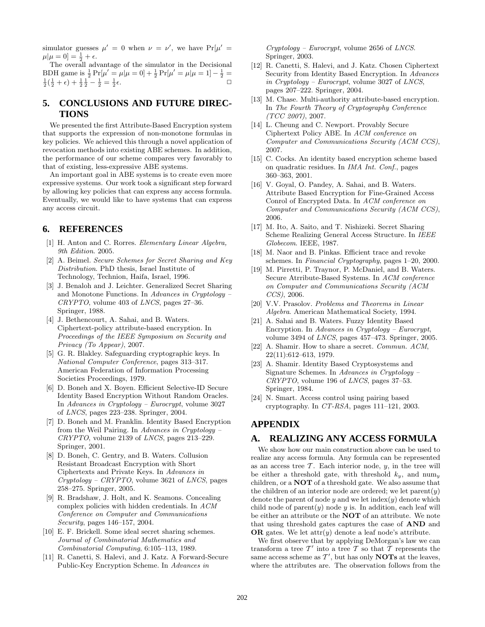simulator guesses  $\mu' = 0$  when  $\nu = \nu'$ , we have  $Pr[\mu' =$  $\mu|\mu = 0] = \frac{1}{2} + \epsilon.$ 

The overall advantage of the simulator in the Decisional BDH game is  $\frac{1}{2} Pr[\mu' = \mu | \mu = 0] + \frac{1}{2} Pr[\mu' = \mu | \mu = 1] - \frac{1}{2}$  $\frac{1}{2}(\frac{1}{2} + \epsilon) + \frac{1}{2}\frac{1}{2} - \frac{1}{2} = \frac{1}{2}$  $\epsilon$ .

# **5. CONCLUSIONS AND FUTURE DIREC-TIONS**

We presented the first Attribute-Based Encryption system that supports the expression of non-monotone formulas in key policies. We achieved this through a novel application of revocation methods into existing ABE schemes. In addition, the performance of our scheme compares very favorably to that of existing, less-expressive ABE systems.

An important goal in ABE systems is to create even more expressive systems. Our work took a significant step forward by allowing key policies that can express any access formula. Eventually, we would like to have systems that can express any access circuit.

# **6. REFERENCES**

- [1] H. Anton and C. Rorres. Elementary Linear Algebra, 9th Edition. 2005.
- [2] A. Beimel. Secure Schemes for Secret Sharing and Key Distribution. PhD thesis, Israel Institute of Technology, Technion, Haifa, Israel, 1996.
- [3] J. Benaloh and J. Leichter. Generalized Secret Sharing and Monotone Functions. In Advances in Cryptology – CRYPTO, volume 403 of LNCS, pages 27–36. Springer, 1988.
- [4] J. Bethencourt, A. Sahai, and B. Waters. Ciphertext-policy attribute-based encryption. In Proceedings of the IEEE Symposium on Security and Privacy (To Appear), 2007.
- [5] G. R. Blakley. Safeguarding cryptographic keys. In National Computer Conference, pages 313–317. American Federation of Information Processing Societies Proceedings, 1979.
- [6] D. Boneh and X. Boyen. Efficient Selective-ID Secure Identity Based Encryption Without Random Oracles. In Advances in Cryptology – Eurocrypt, volume 3027 of LNCS, pages 223–238. Springer, 2004.
- [7] D. Boneh and M. Franklin. Identity Based Encryption from the Weil Pairing. In Advances in Cryptology –  $CRYPTO$ , volume 2139 of  $LNCS$ , pages 213-229. Springer, 2001.
- [8] D. Boneh, C. Gentry, and B. Waters. Collusion Resistant Broadcast Encryption with Short Ciphertexts and Private Keys. In Advances in  $Cryptology - CRYPTO$ , volume 3621 of *LNCS*, pages 258–275. Springer, 2005.
- [9] R. Bradshaw, J. Holt, and K. Seamons. Concealing complex policies with hidden credentials. In ACM Conference on Computer and Communications Security, pages 146–157, 2004.
- [10] E. F. Brickell. Some ideal secret sharing schemes. Journal of Combinatorial Mathematics and Combinatorial Computing, 6:105–113, 1989.
- [11] R. Canetti, S. Halevi, and J. Katz. A Forward-Secure Public-Key Encryption Scheme. In Advances in

 $Cryptology - Eurocrypt$ , volume 2656 of *LNCS*. Springer, 2003.

- [12] R. Canetti, S. Halevi, and J. Katz. Chosen Ciphertext Security from Identity Based Encryption. In Advances in Cryptology – Eurocrypt, volume 3027 of LNCS, pages 207–222. Springer, 2004.
- [13] M. Chase. Multi-authority attribute-based encryption. In The Fourth Theory of Cryptography Conference (TCC 2007), 2007.
- [14] L. Cheung and C. Newport. Provably Secure Ciphertext Policy ABE. In ACM conference on Computer and Communications Security (ACM CCS), 2007.
- [15] C. Cocks. An identity based encryption scheme based on quadratic residues. In IMA Int. Conf., pages 360–363, 2001.
- [16] V. Goyal, O. Pandey, A. Sahai, and B. Waters. Attribute Based Encryption for Fine-Grained Access Conrol of Encrypted Data. In ACM conference on Computer and Communications Security (ACM CCS), 2006.
- [17] M. Ito, A. Saito, and T. Nishizeki. Secret Sharing Scheme Realizing General Access Structure. In IEEE Globecom. IEEE, 1987.
- [18] M. Naor and B. Pinkas. Efficient trace and revoke schemes. In Financial Cryptography, pages 1–20, 2000.
- [19] M. Pirretti, P. Traynor, P. McDaniel, and B. Waters. Secure Atrribute-Based Systems. In ACM conference on Computer and Communications Security (ACM CCS), 2006.
- [20] V.V. Prasolov. Problems and Theorems in Linear Algebra. American Mathematical Society, 1994.
- [21] A. Sahai and B. Waters. Fuzzy Identity Based Encryption. In Advances in Cryptology – Eurocrypt, volume 3494 of LNCS, pages 457–473. Springer, 2005.
- [22] A. Shamir. How to share a secret. Commun. ACM, 22(11):612–613, 1979.
- [23] A. Shamir. Identity Based Cryptosystems and Signature Schemes. In Advances in Cryptology – CRYPTO, volume 196 of LNCS, pages 37–53. Springer, 1984.
- [24] N. Smart. Access control using pairing based cryptography. In CT-RSA, pages 111–121, 2003.

# **APPENDIX**

## **A. REALIZING ANY ACCESS FORMULA**

We show how our main construction above can be used to realize any access formula. Any formula can be represented as an access tree  $\mathcal T$ . Each interior node,  $y$ , in the tree will be either a threshold gate, with threshold  $k_y$ , and num<sub>y</sub> children, or a NOT of a threshold gate. We also assume that the children of an interior node are ordered; we let  $\text{parent}(y)$ denote the parent of node y and we let  $index(y)$  denote which child node of  $\text{parent}(y)$  node y is. In addition, each leaf will be either an attribute or the NOT of an attribute. We note that using threshold gates captures the case of AND and OR gates. We let  $\text{attr}(y)$  denote a leaf node's attribute.

We first observe that by applying DeMorgan's law we can transform a tree  $T'$  into a tree T so that T represents the same access scheme as  $\mathcal{T}'$ , but has only **NOTs** at the leaves, where the attributes are. The observation follows from the